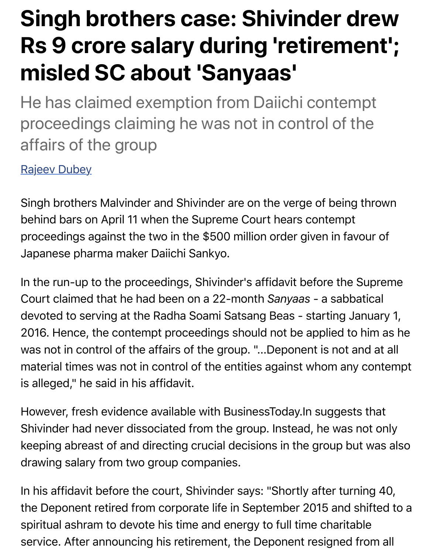## **misled SC about 'Sanyaas'**

He has claimed exemption from Daiichi contemption proceedings claiming he was not in control of the affairs of the group

Rajeev Dubey

Singh brothers Malvinder and Shivinder are on the verge of being the behind bars on April 11 when the Supreme Court hears contempt [proceedings a](https://www.businesstoday.in/search.jsp?searchword=Rajeev-Dubey&searchtype=text&searchphrase=exact&search_type=author)gainst the two in the \$500 million order given in favour Japanese pharma maker Daiichi Sankyo.

In the run-up to the proceedings, Shivinder's affidavit before the Su Court claimed that he had been on a 22-month Sanyaas - a sabbati devoted to serving at the Radha Soami Satsang Beas - starting Janu 2016. Hence, the contempt proceedings should not be applied to hi was not in control of the affairs of the group. "...Deponent is not and material times was not in control of the entities against whom any content is alleged," he said in his affidavit.

However, fresh evidence available with BusinessToday.In suggests t Shivinder had never dissociated from the group. Instead, he was not keeping abreast of and directing crucial decisions in the group but was also drawing salary from two group companies.

In his affidavit before the court, Shivinder says: "Shortly after turnin the Deponent retired from corporate life in September 2015 and shifted to a spiritual ashram to devote his time and energy to full time charitable service. After announcing his retirement, the Deponent resigned fro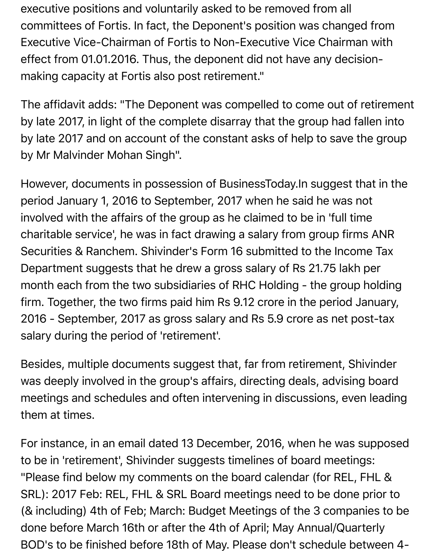executive positions and voluntarily asked to be removed from all committees of Fortis. In fact, the Deponent's position was changed from Executive Vice-Chairman of Fortis to Non-Executive Vice Chairman with effect from 01.01.2016. Thus, the deponent did not have any decisionmaking capacity at Fortis also post retirement."

The affidavit adds: "The Deponent was compelled to come out of retirement by late 2017, in light of the complete disarray that the group had fallen into by late 2017 and on account of the constant asks of help to save the group by Mr Malvinder Mohan Singh".

However, documents in possession of BusinessToday.In suggest that in the period January 1, 2016 to September, 2017 when he said he was not involved with the affairs of the group as he claimed to be in 'full time charitable service', he was in fact drawing a salary from group firms ANR Securities & Ranchem. Shivinder's Form 16 submitted to the Income Tax Department suggests that he drew a gross salary of Rs 21.75 lakh per month each from the two subsidiaries of RHC Holding - the group holding firm. Together, the two firms paid him Rs 9.12 crore in the period January, 2016 - September, 2017 as gross salary and Rs 5.9 crore as net post-tax salary during the period of 'retirement'.

Besides, multiple documents suggest that, far from retirement, Shivinder was deeply involved in the group's affairs, directing deals, advising board meetings and schedules and often intervening in discussions, even leading them at times.

For instance, in an email dated 13 December, 2016, when he was supposed to be in 'retirement', Shivinder suggests timelines of board meetings: "Please find below my comments on the board calendar (for REL, FHL & SRL): 2017 Feb: REL, FHL & SRL Board meetings need to be done prior to (& including) 4th of Feb; March: Budget Meetings of the 3 companies to be done before March 16th or after the 4th of April; May Annual/Quarterly BOD's to be finished before 18th of May. Please don't schedule between 4-